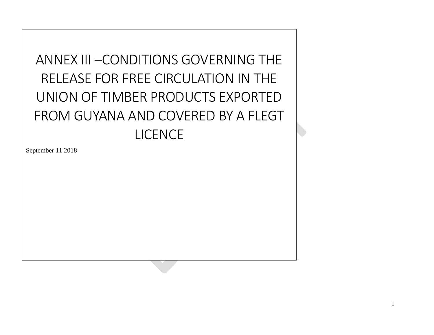# ANNEX III –CONDITIONS GOVERNING THE RELEASE FOR FREE CIRCULATION IN THE UNION OF TIMBER PRODUCTS EXPORTED FROM GUYANA AND COVERED BY A FLEGT LICENCE

September 11 2018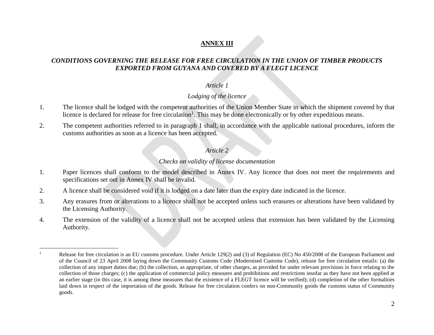# **ANNEX III**

## *CONDITIONS GOVERNING THE RELEASE FOR FREE CIRCULATION IN THE UNION OF TIMBER PRODUCTS EXPORTED FROM GUYANA AND COVERED BY A FLEGT LICENCE*

#### *Article 1*

#### *Lodging of the licence*

- 1. The licence shall be lodged with the competent authorities of the Union Member State in which the shipment covered by that licence is declared for release for free circulation<sup>1</sup>. This may be done electronically or by other expeditious means.
- 2. The competent authorities referred to in paragraph 1 shall, in accordance with the applicable national procedures, inform the customs authorities as soon as a licence has been accepted.

#### *Article 2*

#### *Checks on validity of license documentation*

- 1. Paper licences shall conform to the model described in Annex IV. Any licence that does not meet the requirements and specifications set out in Annex IV shall be invalid.
- 2. A licence shall be considered void if it is lodged on a date later than the expiry date indicated in the licence.

 $\overline{a}$ 

- 3. Any erasures from or alterations to a licence shall not be accepted unless such erasures or alterations have been validated by the Licensing Authority.
- 4. The extension of the validity of a licence shall not be accepted unless that extension has been validated by the Licensing Authority.

<sup>&</sup>lt;sup>1</sup> Release for free circulation is an EU customs procedure. Under Article 129(2) and (3) of Regulation (EC) No 450/2008 of the European Parliament and of the Council of 23 April 2008 laying down the Community Customs Code (Modernised Customs Code), release for free circulation entails: (a) the collection of any import duties due; (b) the collection, as appropriate, of other charges, as provided for under relevant provisions in force relating to the collection of those charges; (c) the application of commercial policy measures and prohibitions and restrictions insofar as they have not been applied at an earlier stage (in this case, it is among these measures that the existence of a FLEGT licence will be verified); (d) completion of the other formalities laid down in respect of the importation of the goods. Release for free circulation confers on non-Community goods the customs status of Community goods.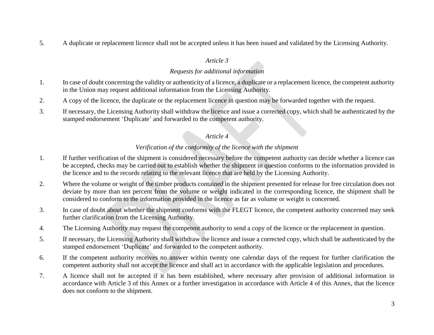5. A duplicate or replacement licence shall not be accepted unless it has been issued and validated by the Licensing Authority.

### *Article 3*

### *Requests for additional information*

- 1. In case of doubt concerning the validity or authenticity of a licence, a duplicate or a replacement licence, the competent authority in the Union may request additional information from the Licensing Authority.
- 2. A copy of the licence, the duplicate or the replacement licence in question may be forwarded together with the request.
- 3. If necessary, the Licensing Authority shall withdraw the licence and issue a corrected copy, which shall be authenticated by the stamped endorsement 'Duplicate' and forwarded to the competent authority.

## *Article 4*

## *Verification of the conformity of the licence with the shipment*

- 1. If further verification of the shipment is considered necessary before the competent authority can decide whether a licence can be accepted, checks may be carried out to establish whether the shipment in question conforms to the information provided in the licence and to the records relating to the relevant licence that are held by the Licensing Authority.
- 2. Where the volume or weight of the timber products contained in the shipment presented for release for free circulation does not deviate by more than ten percent from the volume or weight indicated in the corresponding licence, the shipment shall be considered to conform to the information provided in the licence as far as volume or weight is concerned.
- 3. In case of doubt about whether the shipment conforms with the FLEGT licence, the competent authority concerned may seek further clarification from the Licensing Authority.
- 4. The Licensing Authority may request the competent authority to send a copy of the licence or the replacement in question.
- 5. If necessary, the Licensing Authority shall withdraw the licence and issue a corrected copy, which shall be authenticated by the stamped endorsement 'Duplicate' and forwarded to the competent authority.
- 6. If the competent authority receives no answer within twenty one calendar days of the request for further clarification the competent authority shall not accept the licence and shall act in accordance with the applicable legislation and procedures.
- 7. A licence shall not be accepted if it has been established, where necessary after provision of additional information in accordance with Article 3 of this Annex or a further investigation in accordance with Article 4 of this Annex, that the licence does not conform to the shipment.